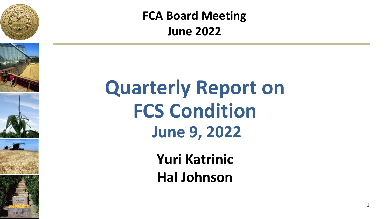







**FCA Board Meeting June 2022**

# **Quarterly Report on FCS Condition June 9, 2022**

**Yuri Katrinic Hal Johnson**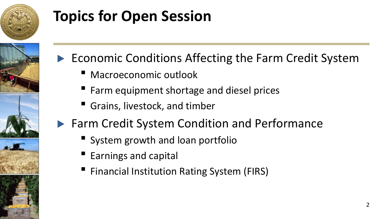

## **Topics for Open Session**



- ▶ Economic Conditions Affecting the Farm Credit System
	- Macroeconomic outlook
	- Farm equipment shortage and diesel prices
	- Grains, livestock, and timber
- ▶ Farm Credit System Condition and Performance
	- System growth and loan portfolio
	- Earnings and capital
	- Financial Institution Rating System (FIRS)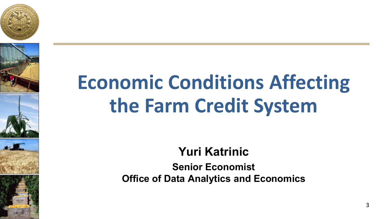









# **Economic Conditions Affecting the Farm Credit System**

### **Yuri Katrinic**

**Senior Economist Office of Data Analytics and Economics**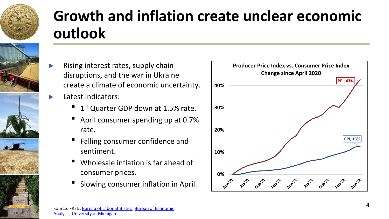

## **Growth and inflation create unclear economic outlook**

- Rising interest rates, supply chain disruptions, and the war in Ukraine create a climate of economic uncertainty.
	- **Latest indicators:** 
		- $1<sup>st</sup>$  Quarter GDP down at 1.5% rate.
		- April consumer spending up at 0.7% rate.
		- Falling consumer confidence and sentiment.
		- Wholesale inflation is far ahead of consumer prices.
		- Slowing consumer inflation in April.

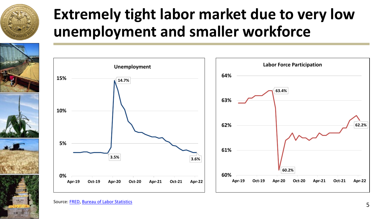

### **Extremely tight labor market due to very low unemployment and smaller workforce**



Source: [FRED,](https://fred.stlouisfed.org/series/UNRATE/) [Bureau of Labor Statistics](https://fred.stlouisfed.org/series/CIVPART)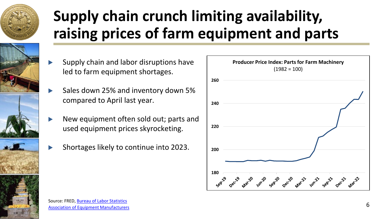

## **Supply chain crunch limiting availability, raising prices of farm equipment and parts**



- Supply chain and labor disruptions have led to farm equipment shortages.
- Sales down 25% and inventory down 5% compared to April last year.
- New equipment often sold out; parts and used equipment prices skyrocketing.
- ▶ Shortages likely to continue into 2023.

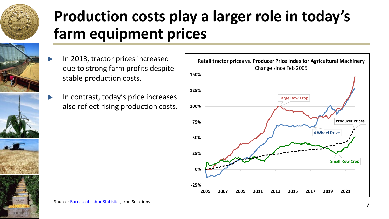

### **Production costs play a larger role in today's farm equipment prices**

- ▶ In 2013, tractor prices increased due to strong farm profits despite stable production costs.
- ▶ In contrast, today's price increases also reflect rising production costs.

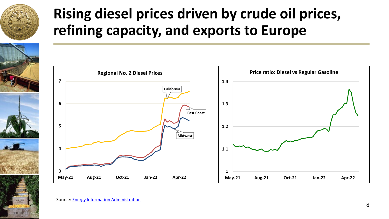

### **Rising diesel prices driven by crude oil prices, refining capacity, and exports to Europe**



Source: [Energy Information Administration](https://www.eia.gov/petroleum/gasdiesel/)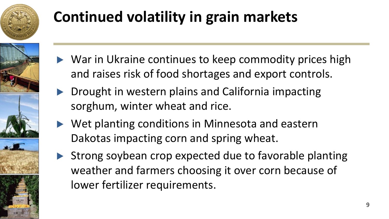

## **Continued volatility in grain markets**

- ▶ War in Ukraine continues to keep commodity prices high and raises risk of food shortages and export controls.
- ▶ Drought in western plains and California impacting sorghum, winter wheat and rice.
- ▶ Wet planting conditions in Minnesota and eastern Dakotas impacting corn and spring wheat.
- ▶ Strong soybean crop expected due to favorable planting weather and farmers choosing it over corn because of lower fertilizer requirements.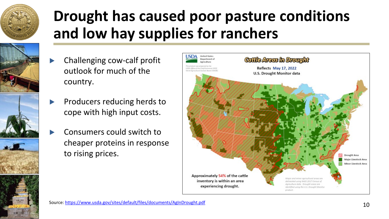

### **Drought has caused poor pasture conditions and low hay supplies for ranchers**

- Challenging cow-calf profit outlook for much of the country.
- Producers reducing herds to cope with high input costs.
- Consumers could switch to cheaper proteins in response to rising prices.

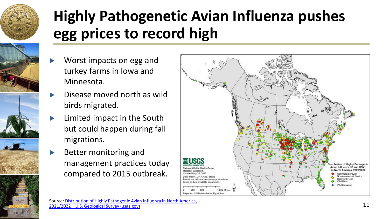

### **Highly Pathogenetic Avian Influenza pushes egg prices to record high**

- Worst impacts on egg and turkey farms in Iowa and Minnesota.
- Disease moved north as wild birds migrated.
- Limited impact in the South but could happen during fall migrations.
- **Better monitoring and** management practices today compared to 2015 outbreak.

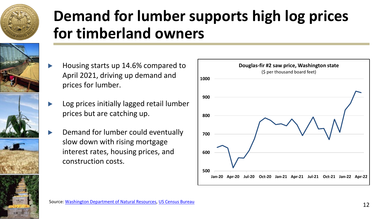

### **Demand for lumber supports high log prices for timberland owners**

- ▶ Housing starts up 14.6% compared to April 2021, driving up demand and prices for lumber.
- Log prices initially lagged retail lumber prices but are catching up.
- Demand for lumber could eventually slow down with rising mortgage interest rates, housing prices, and construction costs.

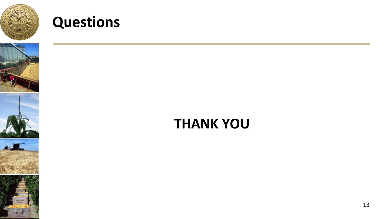

### **Questions**









### **THANK YOU**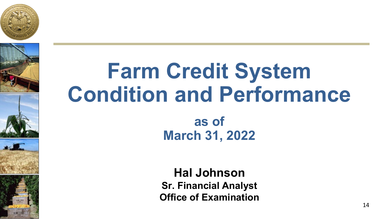









# **Farm Credit System Condition and Performance**

**as of March 31, 2022**

**Hal Johnson Sr. Financial Analyst Office of Examination**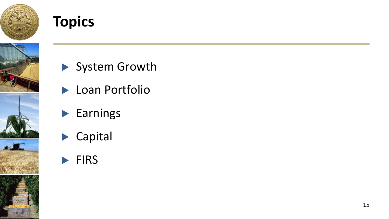

### **Topics**



- ▶ System Growth
- ▶ Loan Portfolio
- ▶ Earnings
- ▶ Capital
- ▶ FIRS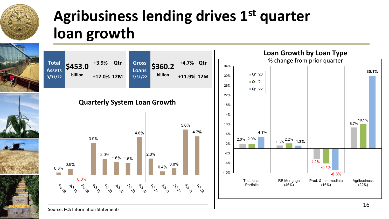

### **Agribusiness lending drives 1st quarter loan growth**

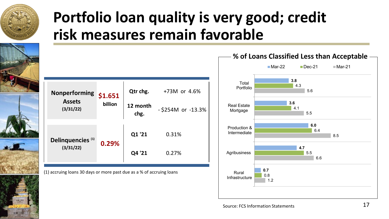

### **Portfolio loan quality is very good; credit risk measures remain favorable**

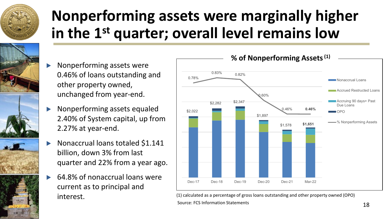

### **Nonperforming assets were marginally higher in the 1st quarter; overall level remains low**

- Nonperforming assets were 0.46% of loans outstanding and other property owned, unchanged from year-end.
- ▶ Nonperforming assets equaled 2.40% of System capital, up from 2.27% at year-end.
- ▶ Nonaccrual loans totaled \$1.141 billion, down 3% from last quarter and 22% from a year ago.
- 64.8% of nonaccrual loans were current as to principal and interest.



Source: FCS Information Statements (1) calculated as a percentage of gross loans outstanding and other property owned (OPO)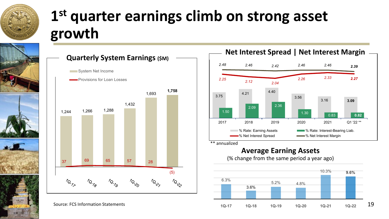

## **1st quarter earnings climb on strong asset growth**





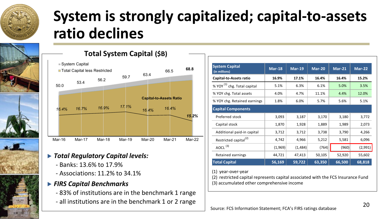

### **System is strongly capitalized; capital-to-assets ratio declines**



#### **Total System Capital (\$B)**



- ▶ *Total Regulatory Capital levels:*
	- Banks: 13.6% to 17.9%
	- Associations: 11.2% to 34.1%

#### ▶ *FIRS Capital Benchmarks*

- 83% of institutions are in the benchmark 1 range
- all institutions are in the benchmark 1 or 2 range

| <b>System Capital</b><br>(in millions)  | <b>Mar-18</b> | <b>Mar-19</b> | Mar-20 | $Mar-21$ | $Mar-22$ |
|-----------------------------------------|---------------|---------------|--------|----------|----------|
| Capital-to-Assets ratio                 | 16.9%         | 17.1%         | 16.4%  | 16.4%    | 15.2%    |
| % YOY <sup>(1)</sup> chg. Total capital | 5.1%          | 6.3%          | 6.1%   | 5.0%     | 3.5%     |
| % YOY chg. Total assets                 | 4.0%          | 4.7%          | 11.1%  | 4.4%     | 12.0%    |
| % YOY chg. Retained earnings            | 1.8%          | 6.0%          | 5.7%   | 5.6%     | 5.1%     |
| <b>Capital Components</b>               |               |               |        |          |          |
| Preferred stock                         | 3,093         | 3,187         | 3,170  | 3,180    | 3,772    |
| Capital stock                           | 1,870         | 1,928         | 1,889  | 1,989    | 2,073    |
| Additional paid-in capital              | 3,712         | 3,712         | 3,738  | 3,790    | 4,266    |
| Restricted capital <sup>(2)</sup>       | 4,742         | 4,966         | 5,212  | 5,581    | 6,096    |
| AOCL $(3)$                              | (1,969)       | (1,484)       | (764)  | (960)    | (2,991)  |
| Retained earnings                       | 44,721        | 47,413        | 50,105 | 52,920   | 55,602   |
| <b>Total Capital</b>                    | 56,169        | 59,722        | 63,350 | 66,500   | 68,818   |

(1) year-over-year

(2) restricted capital represents capital associated with the FCS Insurance Fund (3) accumulated other comprehensive income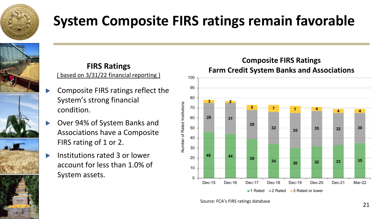

### **System Composite FIRS ratings remain favorable**





#### **FIRS Ratings** based on 3/31/22 financial reporting )

- Composite FIRS ratings reflect the System's strong financial condition.
- ▶ Over 94% of System Banks and Associations have a Composite FIRS rating of 1 or 2.
- Institutions rated 3 or lower account for less than 1.0% of System assets.



**Composite FIRS Ratings**